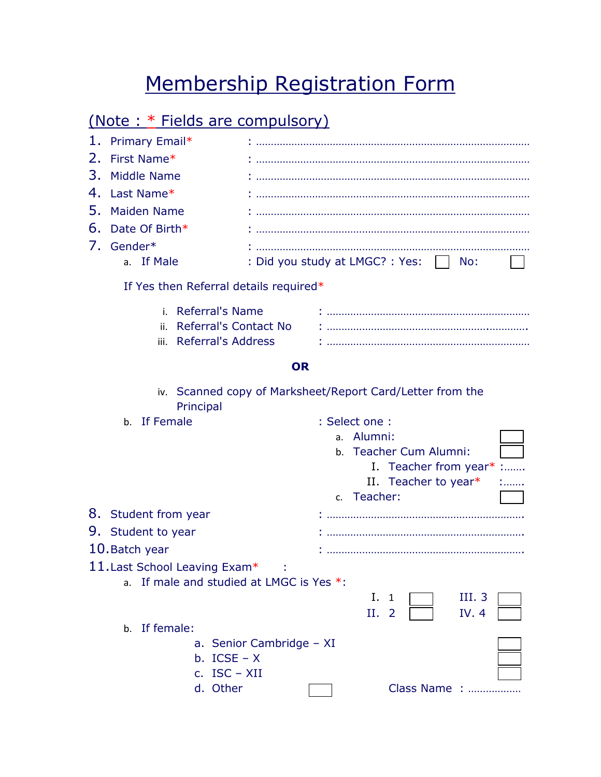## Membership Registration Form

## (Note : \* Fields are compulsory)

| 1.<br>Primary Email*                                                      |  |                                                   |  |  |  |  |  |
|---------------------------------------------------------------------------|--|---------------------------------------------------|--|--|--|--|--|
| 2.<br>First Name*                                                         |  |                                                   |  |  |  |  |  |
| 3.<br>Middle Name                                                         |  |                                                   |  |  |  |  |  |
| 4.<br>Last Name*                                                          |  |                                                   |  |  |  |  |  |
| 5.<br><b>Maiden Name</b>                                                  |  |                                                   |  |  |  |  |  |
| 6.<br>Date Of Birth*                                                      |  |                                                   |  |  |  |  |  |
| 7. Gender*                                                                |  |                                                   |  |  |  |  |  |
| a. If Male                                                                |  | : Did you study at LMGC? : Yes: $\vert \vert$ No: |  |  |  |  |  |
| If Yes then Referral details required*                                    |  |                                                   |  |  |  |  |  |
| <b>Referral's Name</b><br>i.                                              |  |                                                   |  |  |  |  |  |
| <b>Referral's Contact No</b><br>ii.                                       |  |                                                   |  |  |  |  |  |
| <b>Referral's Address</b><br>iii.                                         |  |                                                   |  |  |  |  |  |
| <b>OR</b>                                                                 |  |                                                   |  |  |  |  |  |
| iv. Scanned copy of Marksheet/Report Card/Letter from the<br>Principal    |  |                                                   |  |  |  |  |  |
| b. If Female                                                              |  | : Select one :                                    |  |  |  |  |  |
|                                                                           |  | a. Alumni:                                        |  |  |  |  |  |
|                                                                           |  | b. Teacher Cum Alumni:                            |  |  |  |  |  |
|                                                                           |  | I. Teacher from year* :                           |  |  |  |  |  |
|                                                                           |  | II. Teacher to year $*$<br>c. Teacher:            |  |  |  |  |  |
| 8. Student from year                                                      |  |                                                   |  |  |  |  |  |
|                                                                           |  |                                                   |  |  |  |  |  |
| 9. Student to year                                                        |  |                                                   |  |  |  |  |  |
| 10. Batch year                                                            |  |                                                   |  |  |  |  |  |
| 11. Last School Leaving Exam*<br>a. If male and studied at LMGC is Yes *: |  |                                                   |  |  |  |  |  |
|                                                                           |  | III. 3<br>Ι.<br>$\mathbf{1}$                      |  |  |  |  |  |
|                                                                           |  | IV. 4<br>Н.<br>$\overline{2}$                     |  |  |  |  |  |
| If female:<br>b.                                                          |  |                                                   |  |  |  |  |  |
| a. Senior Cambridge - XI                                                  |  |                                                   |  |  |  |  |  |
| b. $ICSE - X$                                                             |  |                                                   |  |  |  |  |  |
| c. $ISC - XII$                                                            |  |                                                   |  |  |  |  |  |
| d. Other                                                                  |  | Class Name :                                      |  |  |  |  |  |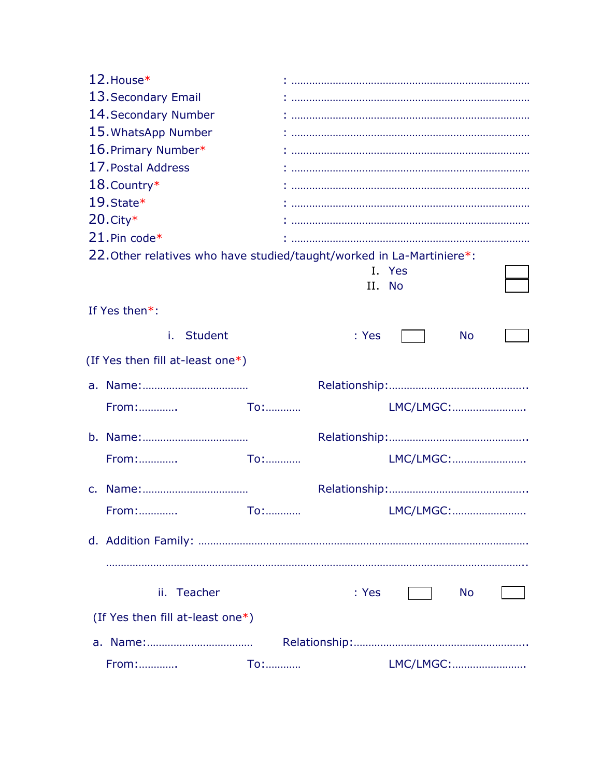| 12. House*                                                            |            |           |           |           |  |
|-----------------------------------------------------------------------|------------|-----------|-----------|-----------|--|
| 13. Secondary Email                                                   |            |           |           |           |  |
| 14. Secondary Number                                                  |            |           |           |           |  |
| 15. WhatsApp Number                                                   |            |           |           |           |  |
| 16. Primary Number*                                                   |            |           |           |           |  |
| 17. Postal Address                                                    |            |           |           |           |  |
| $18$ . Country*                                                       |            |           |           |           |  |
| 19. State*                                                            |            |           |           |           |  |
| $20$ . City $*$                                                       |            |           |           |           |  |
| $21.$ Pin code*                                                       |            |           |           |           |  |
| 22. Other relatives who have studied/taught/worked in La-Martiniere*: |            |           |           |           |  |
|                                                                       |            |           | I. Yes    |           |  |
|                                                                       |            |           | II. No    |           |  |
| If Yes then*:                                                         |            |           |           |           |  |
| <b>Student</b><br>i.                                                  |            | : Yes     |           | <b>No</b> |  |
| (If Yes then fill at-least one*)                                      |            |           |           |           |  |
|                                                                       |            |           |           |           |  |
| From:                                                                 | To:        |           | LMC/LMGC: |           |  |
|                                                                       |            |           |           |           |  |
| From:                                                                 | To:        |           | LMC/LMGC: |           |  |
|                                                                       |            |           |           |           |  |
| From:                                                                 |            | LMC/LMGC: |           |           |  |
|                                                                       |            |           |           |           |  |
|                                                                       |            |           |           |           |  |
|                                                                       |            |           |           |           |  |
|                                                                       |            |           |           |           |  |
| ii. Teacher                                                           |            | : Yes     |           | <b>No</b> |  |
| (If Yes then fill at-least one*)                                      |            |           |           |           |  |
|                                                                       |            |           |           |           |  |
| <b>From:</b>                                                          | <b>To:</b> |           | LMC/LMGC: |           |  |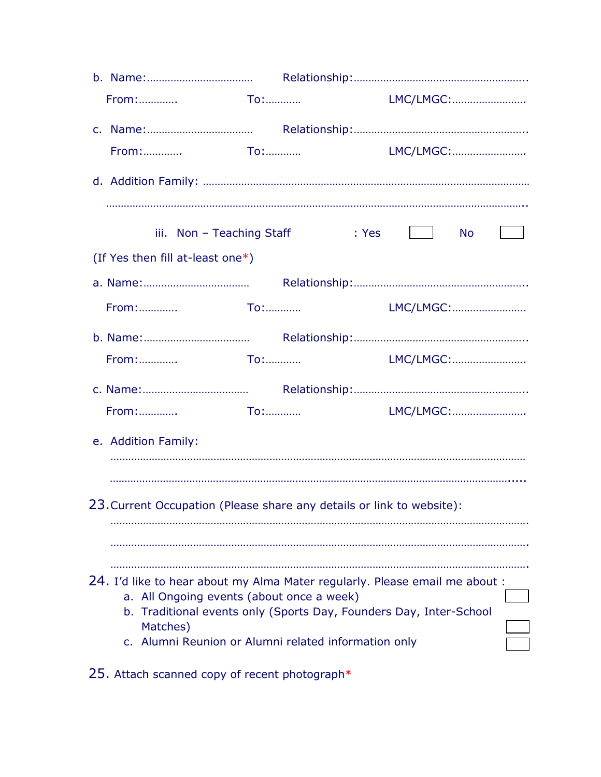| LMC/LMGC:<br>LMC/LMGC:<br>iii. Non - Teaching Staff : Yes<br>No l<br>(If Yes then fill at-least one*)<br>LMC/LMGC:<br>$\mathsf{To}:\mathbb{R}^n\rightarrow\mathbb{R}^n$<br>LMC/LMGC:<br>From:<br>LMC/LMGC:<br>e. Addition Family:<br>23. Current Occupation (Please share any details or link to website):<br>24. I'd like to hear about my Alma Mater regularly. Please email me about :<br>a. All Ongoing events (about once a week)<br>Traditional events only (Sports Day, Founders Day, Inter-School<br>b.<br>Matches)<br>c. Alumni Reunion or Alumni related information only |  |  |  |  |  |  |  |  |
|-------------------------------------------------------------------------------------------------------------------------------------------------------------------------------------------------------------------------------------------------------------------------------------------------------------------------------------------------------------------------------------------------------------------------------------------------------------------------------------------------------------------------------------------------------------------------------------|--|--|--|--|--|--|--|--|
|                                                                                                                                                                                                                                                                                                                                                                                                                                                                                                                                                                                     |  |  |  |  |  |  |  |  |
|                                                                                                                                                                                                                                                                                                                                                                                                                                                                                                                                                                                     |  |  |  |  |  |  |  |  |
|                                                                                                                                                                                                                                                                                                                                                                                                                                                                                                                                                                                     |  |  |  |  |  |  |  |  |
|                                                                                                                                                                                                                                                                                                                                                                                                                                                                                                                                                                                     |  |  |  |  |  |  |  |  |
|                                                                                                                                                                                                                                                                                                                                                                                                                                                                                                                                                                                     |  |  |  |  |  |  |  |  |
|                                                                                                                                                                                                                                                                                                                                                                                                                                                                                                                                                                                     |  |  |  |  |  |  |  |  |
|                                                                                                                                                                                                                                                                                                                                                                                                                                                                                                                                                                                     |  |  |  |  |  |  |  |  |
|                                                                                                                                                                                                                                                                                                                                                                                                                                                                                                                                                                                     |  |  |  |  |  |  |  |  |
|                                                                                                                                                                                                                                                                                                                                                                                                                                                                                                                                                                                     |  |  |  |  |  |  |  |  |
|                                                                                                                                                                                                                                                                                                                                                                                                                                                                                                                                                                                     |  |  |  |  |  |  |  |  |
|                                                                                                                                                                                                                                                                                                                                                                                                                                                                                                                                                                                     |  |  |  |  |  |  |  |  |
|                                                                                                                                                                                                                                                                                                                                                                                                                                                                                                                                                                                     |  |  |  |  |  |  |  |  |
|                                                                                                                                                                                                                                                                                                                                                                                                                                                                                                                                                                                     |  |  |  |  |  |  |  |  |
|                                                                                                                                                                                                                                                                                                                                                                                                                                                                                                                                                                                     |  |  |  |  |  |  |  |  |
|                                                                                                                                                                                                                                                                                                                                                                                                                                                                                                                                                                                     |  |  |  |  |  |  |  |  |
|                                                                                                                                                                                                                                                                                                                                                                                                                                                                                                                                                                                     |  |  |  |  |  |  |  |  |
|                                                                                                                                                                                                                                                                                                                                                                                                                                                                                                                                                                                     |  |  |  |  |  |  |  |  |
|                                                                                                                                                                                                                                                                                                                                                                                                                                                                                                                                                                                     |  |  |  |  |  |  |  |  |
|                                                                                                                                                                                                                                                                                                                                                                                                                                                                                                                                                                                     |  |  |  |  |  |  |  |  |
|                                                                                                                                                                                                                                                                                                                                                                                                                                                                                                                                                                                     |  |  |  |  |  |  |  |  |

25. Attach scanned copy of recent photograph\*